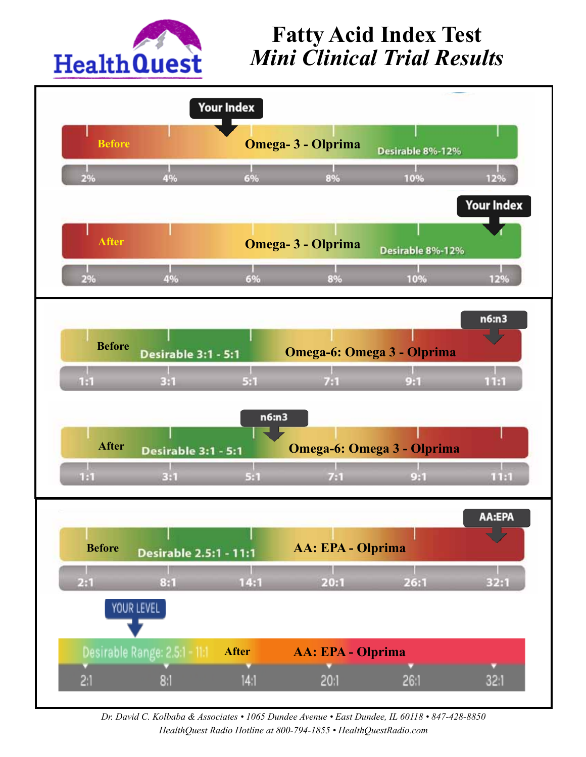

## **Fatty Acid Index Test**  $\mathbf{S}$  T 1-800-941-0632<br> **St** Mini Clinical Trial Results al Trial Resur $\boldsymbol{\mu}$



Dr. David C. Kolbaba & Associates • 1065 Dundee Avenue • East Dundee, IL 60118 • 847-428-8850 HealthQuest Radio Hotline at 800-794-1855 • HealthQuestRadio.com